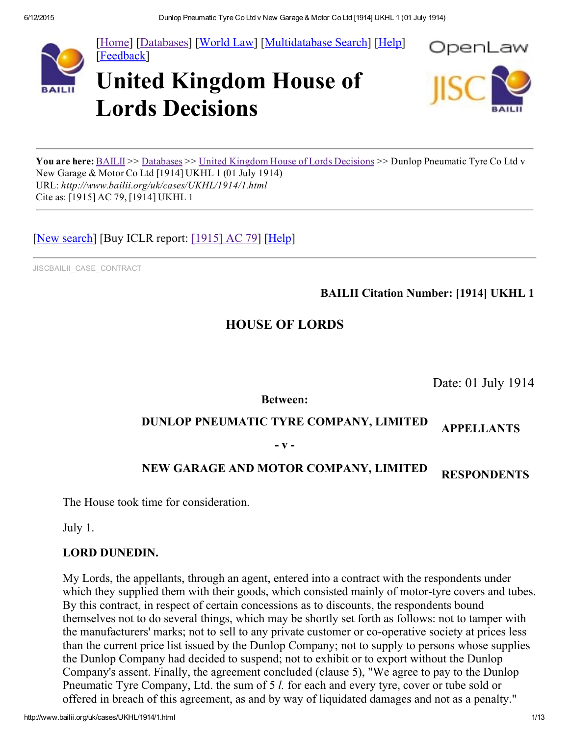[\[Home\]](http://www.bailii.org/) [[Databases\]](http://www.bailii.org/databases.html) [\[World](http://www.austlii.edu.au/links/World/) Law] [\[Multidatabase](http://www.bailii.org/form/search_multidatabase.html) Search] [\[Help\]](http://www.bailii.org/bailii/help/) [\[Feedback\]](http://www.bailii.org/bailii/feedback.html)

# United Kingdom House of Lords Decisions



You are here: [BAILII](http://www.bailii.org/) >> [Databases](http://www.bailii.org/databases.html) >> United Kingdom House of Lords [Decisions](http://www.bailii.org/uk/cases/UKHL/) >> Dunlop Pneumatic Tyre Co Ltd v New Garage & Motor Co Ltd [1914] UKHL 1 (01 July 1914) URL: http://www.bailii.org/uk/cases/UKHL/1914/1.html Cite as: [1915] AC 79, [1914] UKHL 1

# [New [search\]](http://www.bailii.org/form/search_cases.html) [Buy ICLR report: [\[1915\]](https://shop.iclr.co.uk/Subscr/welcome.aspx?docId=XAC1915-1-79) AC 79] [\[Help\]](http://www.bailii.org/bailii/help/)

JISCBAILII\_CASE\_CONTRACT

# BAILII Citation Number: [1914] UKHL 1

# HOUSE OF LORDS

Date: 01 July 1914

## Between:

#### DUNLOP PNEUMATIC TYRE COMPANY, LIMITED APPELLANTS

 $-$  V –

#### NEW GARAGE AND MOTOR COMPANY, LIMITED RESPONDENTS

The House took time for consideration.

July 1.

## LORD DUNEDIN.

My Lords, the appellants, through an agent, entered into a contract with the respondents under which they supplied them with their goods, which consisted mainly of motor-tyre covers and tubes. By this contract, in respect of certain concessions as to discounts, the respondents bound themselves not to do several things, which may be shortly set forth as follows: not to tamper with the manufacturers' marks; not to sell to any private customer or co-operative society at prices less than the current price list issued by the Dunlop Company; not to supply to persons whose supplies the Dunlop Company had decided to suspend; not to exhibit or to export without the Dunlop Company's assent. Finally, the agreement concluded (clause 5), "We agree to pay to the Dunlop Pneumatic Tyre Company, Ltd. the sum of 5 l. for each and every tyre, cover or tube sold or offered in breach of this agreement, as and by way of liquidated damages and not as a penalty."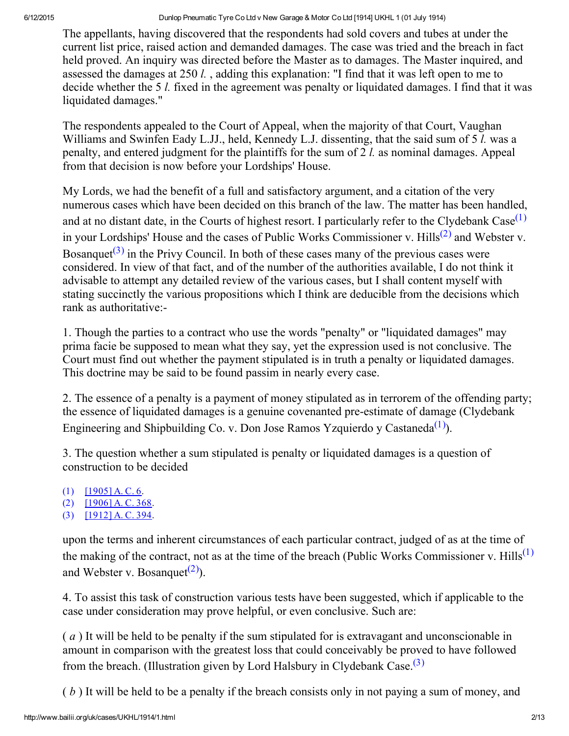The appellants, having discovered that the respondents had sold covers and tubes at under the current list price, raised action and demanded damages. The case was tried and the breach in fact held proved. An inquiry was directed before the Master as to damages. The Master inquired, and assessed the damages at 250 l. , adding this explanation: "I find that it was left open to me to decide whether the 5 *l*. fixed in the agreement was penalty or liquidated damages. I find that it was liquidated damages."

The respondents appealed to the Court of Appeal, when the majority of that Court, Vaughan Williams and Swinfen Eady L.JJ., held, Kennedy L.J. dissenting, that the said sum of 5 l. was a penalty, and entered judgment for the plaintiffs for the sum of 2 l. as nominal damages. Appeal from that decision is now before your Lordships' House.

My Lords, we had the benefit of a full and satisfactory argument, and a citation of the very numerous cases which have been decided on this branch of the law. The matter has been handled, and at no distant date, in the Courts of highest resort. I particularly refer to the Clydebank  $\text{Case}^{(1)}$ in your Lordships' House and the cases of Public Works Commissioner v. Hills<sup>(2)</sup> and Webster v. Bosanquet<sup>(3)</sup> in the Privy Council. In both of these cases many of the previous cases were considered. In view of that fact, and of the number of the authorities available, I do not think it advisable to attempt any detailed review of the various cases, but I shall content myself with stating succinctly the various propositions which I think are deducible from the decisions which rank as authoritative:

1. Though the parties to a contract who use the words "penalty" or "liquidated damages" may prima facie be supposed to mean what they say, yet the expression used is not conclusive. The Court must find out whether the payment stipulated is in truth a penalty or liquidated damages. This doctrine may be said to be found passim in nearly every case.

2. The essence of a penalty is a payment of money stipulated as in terrorem of the offending party; the essence of liquidated damages is a genuine covenanted pre-estimate of damage (Clydebank Engineering and Shipbuilding Co. v. Don Jose Ramos Yzquierdo y Castaneda<sup>(1)</sup>).

3. The question whether a sum stipulated is penalty or liquidated damages is a question of construction to be decided

- $(1)$  [\[1905\]](http://www.bailii.org/uk/cases/UKHL/1904/1904_7_F_HL_77.html) A. C. 6.
- (2) [\[1906\]](http://www.bailii.org/uk/cases/UKPC/1906/1906_35.html) A. C. 368.
- (3) [\[1912\]](http://www.bailii.org/uk/cases/UKPC/1912/1912_18.html) A. C. 394.

upon the terms and inherent circumstances of each particular contract, judged of as at the time of the making of the contract, not as at the time of the breach (Public Works Commissioner v. Hills<sup>(1)</sup> and Webster v. Bosanquet<sup>(2)</sup>).

4. To assist this task of construction various tests have been suggested, which if applicable to the case under consideration may prove helpful, or even conclusive. Such are:

 $(a)$  It will be held to be penalty if the sum stipulated for is extravagant and unconscionable in amount in comparison with the greatest loss that could conceivably be proved to have followed from the breach. (Illustration given by Lord Halsbury in Clydebank Case.<sup>(3)</sup>

 $(b)$  It will be held to be a penalty if the breach consists only in not paying a sum of money, and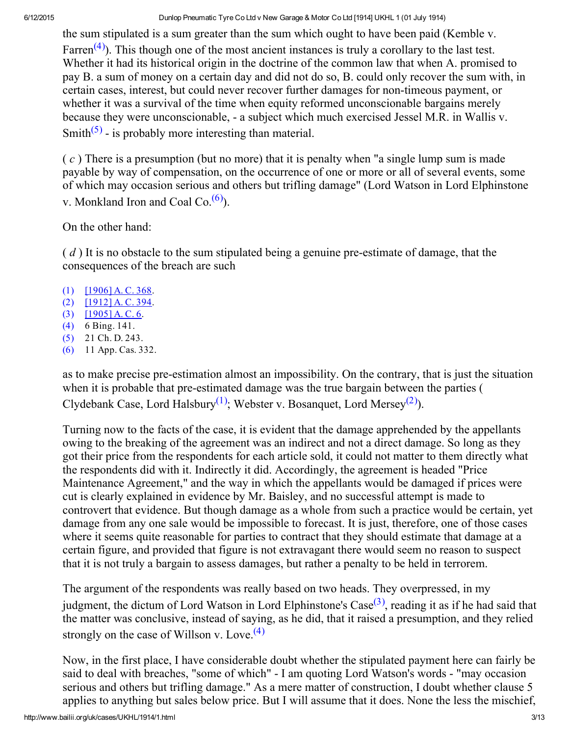the sum stipulated is a sum greater than the sum which ought to have been paid (Kemble v. Farren<sup>(4)</sup>). This though one of the most ancient instances is truly a corollary to the last test. Whether it had its historical origin in the doctrine of the common law that when A. promised to pay B. a sum of money on a certain day and did not do so, B. could only recover the sum with, in certain cases, interest, but could never recover further damages for non-timeous payment, or whether it was a survival of the time when equity reformed unconscionable bargains merely because they were unconscionable, - a subject which much exercised Jessel M.R. in Wallis v. Smith<sup>(5)</sup> - is probably more interesting than material.

 $(c)$  There is a presumption (but no more) that it is penalty when "a single lump sum is made payable by way of compensation, on the occurrence of one or more or all of several events, some of which may occasion serious and others but trifling damage" (Lord Watson in Lord Elphinstone v. Monkland Iron and Coal  $Co^{(6)}$ ).

On the other hand:

 $(d)$  It is no obstacle to the sum stipulated being a genuine pre-estimate of damage, that the consequences of the breach are such

- (1) [\[1906\]](http://www.bailii.org/uk/cases/UKPC/1906/1906_35.html) A. C. 368.
- (2) [\[1912\]](http://www.bailii.org/uk/cases/UKPC/1912/1912_18.html) A. C. 394.
- (3) [\[1905\]](http://www.bailii.org/uk/cases/UKHL/1904/1904_7_F_HL_77.html) A. C. 6.
- (4) 6 Bing. 141.
- (5) 21 Ch. D. 243.
- (6) 11 App. Cas. 332.

as to make precise pre-estimation almost an impossibility. On the contrary, that is just the situation when it is probable that pre-estimated damage was the true bargain between the parties ( Clydebank Case, Lord Halsbury<sup>(1)</sup>; Webster v. Bosanquet, Lord Mersey<sup>(2)</sup>).

Turning now to the facts of the case, it is evident that the damage apprehended by the appellants owing to the breaking of the agreement was an indirect and not a direct damage. So long as they got their price from the respondents for each article sold, it could not matter to them directly what the respondents did with it. Indirectly it did. Accordingly, the agreement is headed "Price Maintenance Agreement," and the way in which the appellants would be damaged if prices were cut is clearly explained in evidence by Mr. Baisley, and no successful attempt is made to controvert that evidence. But though damage as a whole from such a practice would be certain, yet damage from any one sale would be impossible to forecast. It is just, therefore, one of those cases where it seems quite reasonable for parties to contract that they should estimate that damage at a certain figure, and provided that figure is not extravagant there would seem no reason to suspect that it is not truly a bargain to assess damages, but rather a penalty to be held in terrorem.

The argument of the respondents was really based on two heads. They overpressed, in my judgment, the dictum of Lord Watson in Lord Elphinstone's Case<sup>(3)</sup>, reading it as if he had said that the matter was conclusive, instead of saying, as he did, that it raised a presumption, and they relied strongly on the case of Willson v. Love. $(4)$ 

Now, in the first place, I have considerable doubt whether the stipulated payment here can fairly be said to deal with breaches, "some of which" - I am quoting Lord Watson's words - "may occasion" serious and others but trifling damage." As a mere matter of construction, I doubt whether clause 5 applies to anything but sales below price. But I will assume that it does. None the less the mischief,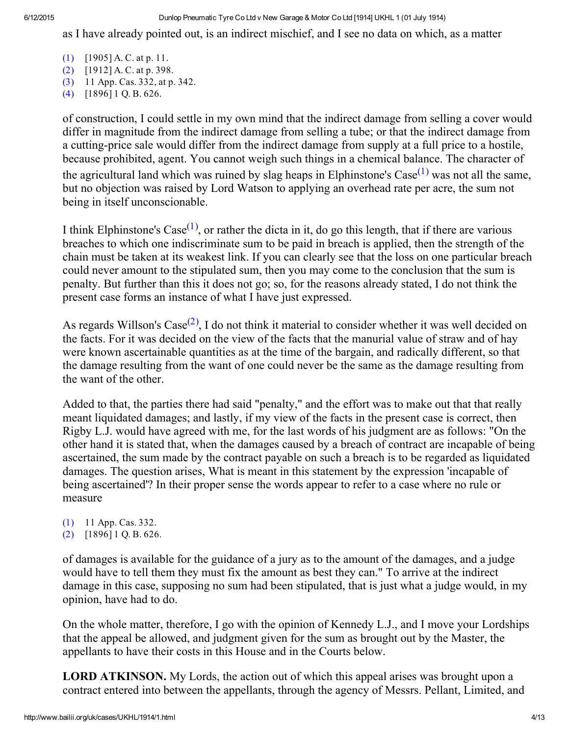as I have already pointed out, is an indirect mischief, and I see no data on which, as a matter

- (1) [1905] A. C. at p. 11.
- (2) [1912] A. C. at p. 398.
- (3) 11 App. Cas. 332, at p. 342.
- (4) [1896] 1 Q. B. 626.

of construction, I could settle in my own mind that the indirect damage from selling a cover would differ in magnitude from the indirect damage from selling a tube; or that the indirect damage from a cutting-price sale would differ from the indirect damage from supply at a full price to a hostile, because prohibited, agent. You cannot weigh such things in a chemical balance. The character of the agricultural land which was ruined by slag heaps in Elphinstone's  $Case<sup>(1)</sup>$  was not all the same, but no objection was raised by Lord Watson to applying an overhead rate per acre, the sum not being in itself unconscionable.

I think Elphinstone's  $Case<sup>(1)</sup>$ , or rather the dicta in it, do go this length, that if there are various breaches to which one indiscriminate sum to be paid in breach is applied, then the strength of the chain must be taken at its weakest link. If you can clearly see that the loss on one particular breach could never amount to the stipulated sum, then you may come to the conclusion that the sum is penalty. But further than this it does not go; so, for the reasons already stated, I do not think the present case forms an instance of what I have just expressed.

As regards Willson's Case<sup>(2)</sup>, I do not think it material to consider whether it was well decided on the facts. For it was decided on the view of the facts that the manurial value of straw and of hay were known ascertainable quantities as at the time of the bargain, and radically different, so that the damage resulting from the want of one could never be the same as the damage resulting from the want of the other.

Added to that, the parties there had said "penalty," and the effort was to make out that that really meant liquidated damages; and lastly, if my view of the facts in the present case is correct, then Rigby L.J. would have agreed with me, for the last words of his judgment are as follows: "On the other hand it is stated that, when the damages caused by a breach of contract are incapable of being ascertained, the sum made by the contract payable on such a breach is to be regarded as liquidated damages. The question arises, What is meant in this statement by the expression 'incapable of being ascertained'? In their proper sense the words appear to refer to a case where no rule or measure

- (1) 11 App. Cas. 332.
- (2) [1896] 1 Q. B. 626.

of damages is available for the guidance of a jury as to the amount of the damages, and a judge would have to tell them they must fix the amount as best they can." To arrive at the indirect damage in this case, supposing no sum had been stipulated, that is just what a judge would, in my opinion, have had to do.

On the whole matter, therefore, I go with the opinion of Kennedy L.J., and I move your Lordships that the appeal be allowed, and judgment given for the sum as brought out by the Master, the appellants to have their costs in this House and in the Courts below.

LORD ATKINSON. My Lords, the action out of which this appeal arises was brought upon a contract entered into between the appellants, through the agency of Messrs. Pellant, Limited, and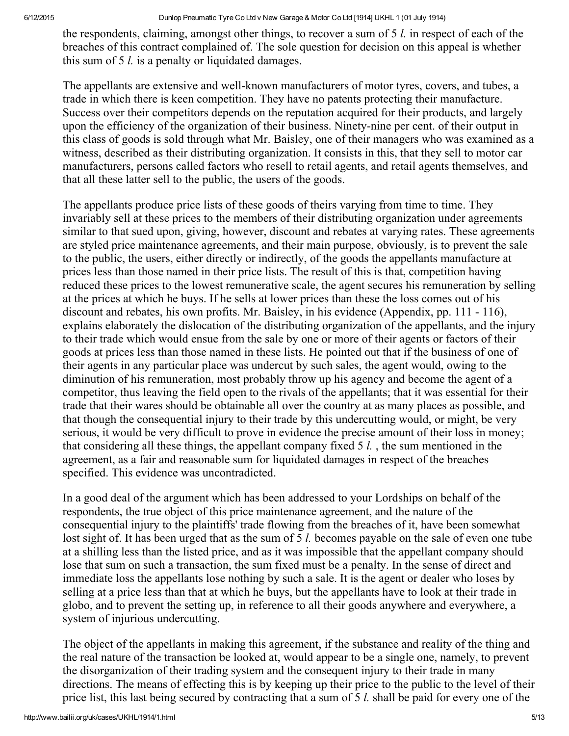the respondents, claiming, amongst other things, to recover a sum of 5 l. in respect of each of the breaches of this contract complained of. The sole question for decision on this appeal is whether this sum of 5 l. is a penalty or liquidated damages.

The appellants are extensive and well-known manufacturers of motor tyres, covers, and tubes, a trade in which there is keen competition. They have no patents protecting their manufacture. Success over their competitors depends on the reputation acquired for their products, and largely upon the efficiency of the organization of their business. Ninety-nine per cent. of their output in this class of goods is sold through what Mr. Baisley, one of their managers who was examined as a witness, described as their distributing organization. It consists in this, that they sell to motor car manufacturers, persons called factors who resell to retail agents, and retail agents themselves, and that all these latter sell to the public, the users of the goods.

The appellants produce price lists of these goods of theirs varying from time to time. They invariably sell at these prices to the members of their distributing organization under agreements similar to that sued upon, giving, however, discount and rebates at varying rates. These agreements are styled price maintenance agreements, and their main purpose, obviously, is to prevent the sale to the public, the users, either directly or indirectly, of the goods the appellants manufacture at prices less than those named in their price lists. The result of this is that, competition having reduced these prices to the lowest remunerative scale, the agent secures his remuneration by selling at the prices at which he buys. If he sells at lower prices than these the loss comes out of his discount and rebates, his own profits. Mr. Baisley, in his evidence (Appendix, pp. 111 - 116), explains elaborately the dislocation of the distributing organization of the appellants, and the injury to their trade which would ensue from the sale by one or more of their agents or factors of their goods at prices less than those named in these lists. He pointed out that if the business of one of their agents in any particular place was undercut by such sales, the agent would, owing to the diminution of his remuneration, most probably throw up his agency and become the agent of a competitor, thus leaving the field open to the rivals of the appellants; that it was essential for their trade that their wares should be obtainable all over the country at as many places as possible, and that though the consequential injury to their trade by this undercutting would, or might, be very serious, it would be very difficult to prove in evidence the precise amount of their loss in money; that considering all these things, the appellant company fixed  $5 l$ , the sum mentioned in the agreement, as a fair and reasonable sum for liquidated damages in respect of the breaches specified. This evidence was uncontradicted.

In a good deal of the argument which has been addressed to your Lordships on behalf of the respondents, the true object of this price maintenance agreement, and the nature of the consequential injury to the plaintiffs' trade flowing from the breaches of it, have been somewhat lost sight of. It has been urged that as the sum of 5 l, becomes payable on the sale of even one tube at a shilling less than the listed price, and as it was impossible that the appellant company should lose that sum on such a transaction, the sum fixed must be a penalty. In the sense of direct and immediate loss the appellants lose nothing by such a sale. It is the agent or dealer who loses by selling at a price less than that at which he buys, but the appellants have to look at their trade in globo, and to prevent the setting up, in reference to all their goods anywhere and everywhere, a system of injurious undercutting.

The object of the appellants in making this agreement, if the substance and reality of the thing and the real nature of the transaction be looked at, would appear to be a single one, namely, to prevent the disorganization of their trading system and the consequent injury to their trade in many directions. The means of effecting this is by keeping up their price to the public to the level of their price list, this last being secured by contracting that a sum of 5 l. shall be paid for every one of the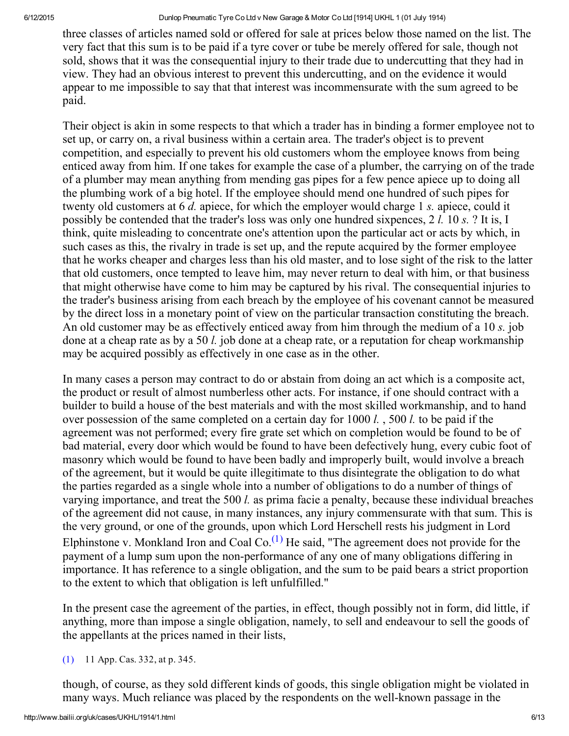three classes of articles named sold or offered for sale at prices below those named on the list. The very fact that this sum is to be paid if a tyre cover or tube be merely offered for sale, though not sold, shows that it was the consequential injury to their trade due to undercutting that they had in view. They had an obvious interest to prevent this undercutting, and on the evidence it would appear to me impossible to say that that interest was incommensurate with the sum agreed to be paid.

Their object is akin in some respects to that which a trader has in binding a former employee not to set up, or carry on, a rival business within a certain area. The trader's object is to prevent competition, and especially to prevent his old customers whom the employee knows from being enticed away from him. If one takes for example the case of a plumber, the carrying on of the trade of a plumber may mean anything from mending gas pipes for a few pence apiece up to doing all the plumbing work of a big hotel. If the employee should mend one hundred of such pipes for twenty old customers at 6 d, apiece, for which the employer would charge 1 s, apiece, could it possibly be contended that the trader's loss was only one hundred sixpences, 2 l. 10 s. ? It is, I think, quite misleading to concentrate one's attention upon the particular act or acts by which, in such cases as this, the rivalry in trade is set up, and the repute acquired by the former employee that he works cheaper and charges less than his old master, and to lose sight of the risk to the latter that old customers, once tempted to leave him, may never return to deal with him, or that business that might otherwise have come to him may be captured by his rival. The consequential injuries to the trader's business arising from each breach by the employee of his covenant cannot be measured by the direct loss in a monetary point of view on the particular transaction constituting the breach. An old customer may be as effectively enticed away from him through the medium of a 10 s. job done at a cheap rate as by a 50 *l*. job done at a cheap rate, or a reputation for cheap workmanship may be acquired possibly as effectively in one case as in the other.

In many cases a person may contract to do or abstain from doing an act which is a composite act, the product or result of almost numberless other acts. For instance, if one should contract with a builder to build a house of the best materials and with the most skilled workmanship, and to hand over possession of the same completed on a certain day for 1000 l., 500 l. to be paid if the agreement was not performed; every fire grate set which on completion would be found to be of bad material, every door which would be found to have been defectively hung, every cubic foot of masonry which would be found to have been badly and improperly built, would involve a breach of the agreement, but it would be quite illegitimate to thus disintegrate the obligation to do what the parties regarded as a single whole into a number of obligations to do a number of things of varying importance, and treat the 500 l. as prima facie a penalty, because these individual breaches of the agreement did not cause, in many instances, any injury commensurate with that sum. This is the very ground, or one of the grounds, upon which Lord Herschell rests his judgment in Lord Elphinstone v. Monkland Iron and Coal Co.<sup>(1)</sup> He said, "The agreement does not provide for the payment of a lump sum upon the non-performance of any one of many obligations differing in importance. It has reference to a single obligation, and the sum to be paid bears a strict proportion to the extent to which that obligation is left unfulfilled."

In the present case the agreement of the parties, in effect, though possibly not in form, did little, if anything, more than impose a single obligation, namely, to sell and endeavour to sell the goods of the appellants at the prices named in their lists,

(1) 11 App. Cas. 332, at p. 345.

though, of course, as they sold different kinds of goods, this single obligation might be violated in many ways. Much reliance was placed by the respondents on the well-known passage in the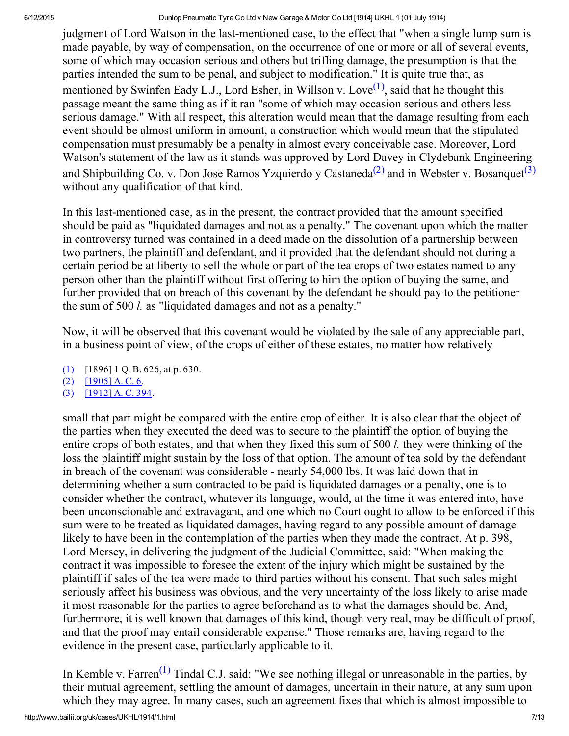judgment of Lord Watson in the last-mentioned case, to the effect that "when a single lump sum is made payable, by way of compensation, on the occurrence of one or more or all of several events, some of which may occasion serious and others but trifling damage, the presumption is that the parties intended the sum to be penal, and subject to modification." It is quite true that, as mentioned by Swinfen Eady L.J., Lord Esher, in Willson v. Love $(1)$ , said that he thought this passage meant the same thing as if it ran "some of which may occasion serious and others less serious damage." With all respect, this alteration would mean that the damage resulting from each event should be almost uniform in amount, a construction which would mean that the stipulated compensation must presumably be a penalty in almost every conceivable case. Moreover, Lord Watson's statement of the law as it stands was approved by Lord Davey in Clydebank Engineering and Shipbuilding Co. v. Don Jose Ramos Yzquierdo y Castaneda<sup>(2)</sup> and in Webster v. Bosanquet<sup>(3)</sup> without any qualification of that kind.

In this last-mentioned case, as in the present, the contract provided that the amount specified should be paid as "liquidated damages and not as a penalty." The covenant upon which the matter in controversy turned was contained in a deed made on the dissolution of a partnership between two partners, the plaintiff and defendant, and it provided that the defendant should not during a certain period be at liberty to sell the whole or part of the tea crops of two estates named to any person other than the plaintiff without first offering to him the option of buying the same, and further provided that on breach of this covenant by the defendant he should pay to the petitioner the sum of 500 l. as "liquidated damages and not as a penalty."

Now, it will be observed that this covenant would be violated by the sale of any appreciable part, in a business point of view, of the crops of either of these estates, no matter how relatively

- (1) [1896] 1 Q. B. 626, at p. 630.
- (2) [\[1905\]](http://www.bailii.org/uk/cases/UKHL/1904/1904_7_F_HL_77.html) A. C. 6.
- $(3)$  [\[1912\]](http://www.bailii.org/uk/cases/UKPC/1912/1912_18.html) A. C. 394.

small that part might be compared with the entire crop of either. It is also clear that the object of the parties when they executed the deed was to secure to the plaintiff the option of buying the entire crops of both estates, and that when they fixed this sum of 500 *l*. they were thinking of the loss the plaintiff might sustain by the loss of that option. The amount of tea sold by the defendant in breach of the covenant was considerable - nearly 54,000 lbs. It was laid down that in determining whether a sum contracted to be paid is liquidated damages or a penalty, one is to consider whether the contract, whatever its language, would, at the time it was entered into, have been unconscionable and extravagant, and one which no Court ought to allow to be enforced if this sum were to be treated as liquidated damages, having regard to any possible amount of damage likely to have been in the contemplation of the parties when they made the contract. At p. 398, Lord Mersey, in delivering the judgment of the Judicial Committee, said: "When making the contract it was impossible to foresee the extent of the injury which might be sustained by the plaintiff if sales of the tea were made to third parties without his consent. That such sales might seriously affect his business was obvious, and the very uncertainty of the loss likely to arise made it most reasonable for the parties to agree beforehand as to what the damages should be. And, furthermore, it is well known that damages of this kind, though very real, may be difficult of proof, and that the proof may entail considerable expense." Those remarks are, having regard to the evidence in the present case, particularly applicable to it.

In Kemble v. Farren<sup>(1)</sup> Tindal C.J. said: "We see nothing illegal or unreasonable in the parties, by their mutual agreement, settling the amount of damages, uncertain in their nature, at any sum upon which they may agree. In many cases, such an agreement fixes that which is almost impossible to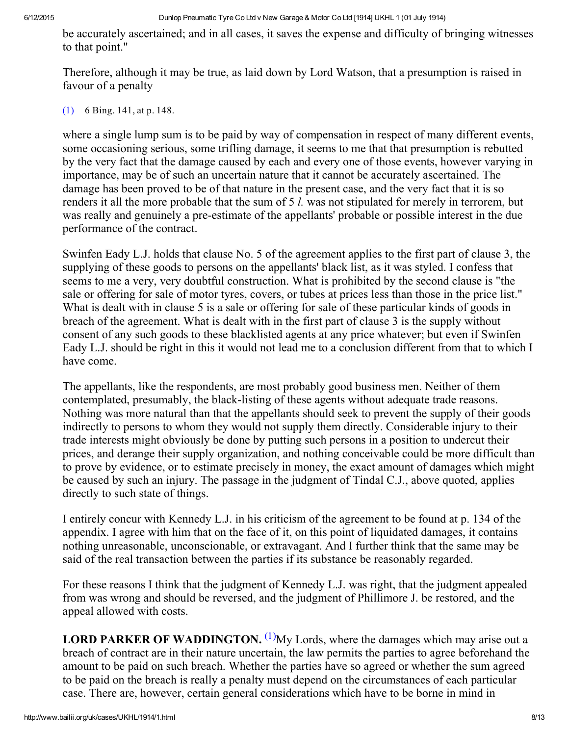be accurately ascertained; and in all cases, it saves the expense and difficulty of bringing witnesses to that point."

Therefore, although it may be true, as laid down by Lord Watson, that a presumption is raised in favour of a penalty

(1) 6 Bing. 141, at p. 148.

where a single lump sum is to be paid by way of compensation in respect of many different events, some occasioning serious, some trifling damage, it seems to me that that presumption is rebutted by the very fact that the damage caused by each and every one of those events, however varying in importance, may be of such an uncertain nature that it cannot be accurately ascertained. The damage has been proved to be of that nature in the present case, and the very fact that it is so renders it all the more probable that the sum of 5 l. was not stipulated for merely in terrorem, but was really and genuinely a pre-estimate of the appellants' probable or possible interest in the due performance of the contract.

Swinfen Eady L.J. holds that clause No. 5 of the agreement applies to the first part of clause 3, the supplying of these goods to persons on the appellants' black list, as it was styled. I confess that seems to me a very, very doubtful construction. What is prohibited by the second clause is "the sale or offering for sale of motor tyres, covers, or tubes at prices less than those in the price list." What is dealt with in clause 5 is a sale or offering for sale of these particular kinds of goods in breach of the agreement. What is dealt with in the first part of clause 3 is the supply without consent of any such goods to these blacklisted agents at any price whatever; but even if Swinfen Eady L.J. should be right in this it would not lead me to a conclusion different from that to which I have come.

The appellants, like the respondents, are most probably good business men. Neither of them contemplated, presumably, the black-listing of these agents without adequate trade reasons. Nothing was more natural than that the appellants should seek to prevent the supply of their goods indirectly to persons to whom they would not supply them directly. Considerable injury to their trade interests might obviously be done by putting such persons in a position to undercut their prices, and derange their supply organization, and nothing conceivable could be more difficult than to prove by evidence, or to estimate precisely in money, the exact amount of damages which might be caused by such an injury. The passage in the judgment of Tindal C.J., above quoted, applies directly to such state of things.

I entirely concur with Kennedy L.J. in his criticism of the agreement to be found at p. 134 of the appendix. I agree with him that on the face of it, on this point of liquidated damages, it contains nothing unreasonable, unconscionable, or extravagant. And I further think that the same may be said of the real transaction between the parties if its substance be reasonably regarded.

For these reasons I think that the judgment of Kennedy L.J. was right, that the judgment appealed from was wrong and should be reversed, and the judgment of Phillimore J. be restored, and the appeal allowed with costs.

**LORD PARKER OF WADDINGTON.**  $^{(1)}$ My Lords, where the damages which may arise out a breach of contract are in their nature uncertain, the law permits the parties to agree beforehand the amount to be paid on such breach. Whether the parties have so agreed or whether the sum agreed to be paid on the breach is really a penalty must depend on the circumstances of each particular case. There are, however, certain general considerations which have to be borne in mind in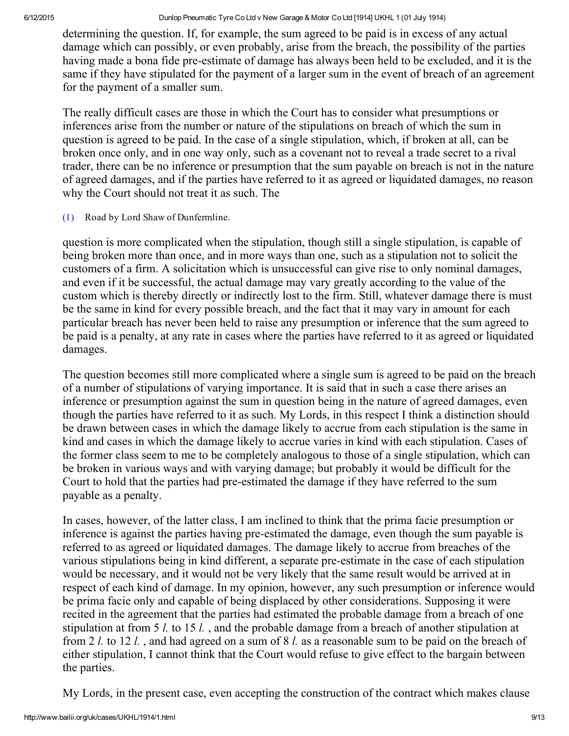determining the question. If, for example, the sum agreed to be paid is in excess of any actual damage which can possibly, or even probably, arise from the breach, the possibility of the parties having made a bona fide pre-estimate of damage has always been held to be excluded, and it is the same if they have stipulated for the payment of a larger sum in the event of breach of an agreement for the payment of a smaller sum.

The really difficult cases are those in which the Court has to consider what presumptions or inferences arise from the number or nature of the stipulations on breach of which the sum in question is agreed to be paid. In the case of a single stipulation, which, if broken at all, can be broken once only, and in one way only, such as a covenant not to reveal a trade secret to a rival trader, there can be no inference or presumption that the sum payable on breach is not in the nature of agreed damages, and if the parties have referred to it as agreed or liquidated damages, no reason why the Court should not treat it as such. The

(1) Road by Lord Shaw of Dunfermline.

question is more complicated when the stipulation, though still a single stipulation, is capable of being broken more than once, and in more ways than one, such as a stipulation not to solicit the customers of a firm. A solicitation which is unsuccessful can give rise to only nominal damages, and even if it be successful, the actual damage may vary greatly according to the value of the custom which is thereby directly or indirectly lost to the firm. Still, whatever damage there is must be the same in kind for every possible breach, and the fact that it may vary in amount for each particular breach has never been held to raise any presumption or inference that the sum agreed to be paid is a penalty, at any rate in cases where the parties have referred to it as agreed or liquidated damages.

The question becomes still more complicated where a single sum is agreed to be paid on the breach of a number of stipulations of varying importance. It is said that in such a case there arises an inference or presumption against the sum in question being in the nature of agreed damages, even though the parties have referred to it as such. My Lords, in this respect I think a distinction should be drawn between cases in which the damage likely to accrue from each stipulation is the same in kind and cases in which the damage likely to accrue varies in kind with each stipulation. Cases of the former class seem to me to be completely analogous to those of a single stipulation, which can be broken in various ways and with varying damage; but probably it would be difficult for the Court to hold that the parties had pre-estimated the damage if they have referred to the sum payable as a penalty.

In cases, however, of the latter class, I am inclined to think that the prima facie presumption or inference is against the parties having pre-estimated the damage, even though the sum payable is referred to as agreed or liquidated damages. The damage likely to accrue from breaches of the various stipulations being in kind different, a separate pre-estimate in the case of each stipulation would be necessary, and it would not be very likely that the same result would be arrived at in respect of each kind of damage. In my opinion, however, any such presumption or inference would be prima facie only and capable of being displaced by other considerations. Supposing it were recited in the agreement that the parties had estimated the probable damage from a breach of one stipulation at from 5 l, to 15 l, and the probable damage from a breach of another stipulation at from 2 l. to 12 l. , and had agreed on a sum of 8 l. as a reasonable sum to be paid on the breach of either stipulation, I cannot think that the Court would refuse to give effect to the bargain between the parties.

My Lords, in the present case, even accepting the construction of the contract which makes clause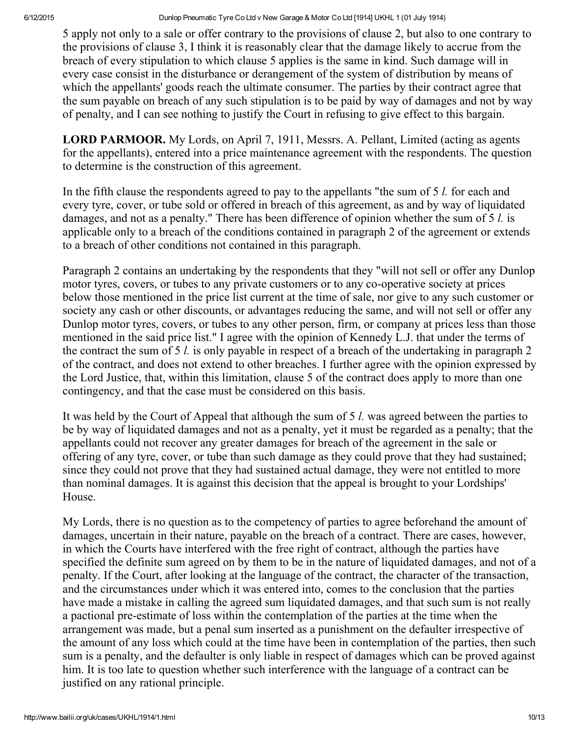5 apply not only to a sale or offer contrary to the provisions of clause 2, but also to one contrary to the provisions of clause 3, I think it is reasonably clear that the damage likely to accrue from the breach of every stipulation to which clause 5 applies is the same in kind. Such damage will in every case consist in the disturbance or derangement of the system of distribution by means of which the appellants' goods reach the ultimate consumer. The parties by their contract agree that the sum payable on breach of any such stipulation is to be paid by way of damages and not by way of penalty, and I can see nothing to justify the Court in refusing to give effect to this bargain.

LORD PARMOOR. My Lords, on April 7, 1911, Messrs. A. Pellant, Limited (acting as agents for the appellants), entered into a price maintenance agreement with the respondents. The question to determine is the construction of this agreement.

In the fifth clause the respondents agreed to pay to the appellants "the sum of 5 l. for each and every tyre, cover, or tube sold or offered in breach of this agreement, as and by way of liquidated damages, and not as a penalty." There has been difference of opinion whether the sum of 5 l. is applicable only to a breach of the conditions contained in paragraph 2 of the agreement or extends to a breach of other conditions not contained in this paragraph.

Paragraph 2 contains an undertaking by the respondents that they "will not sell or offer any Dunlop motor tyres, covers, or tubes to any private customers or to any co-operative society at prices below those mentioned in the price list current at the time of sale, nor give to any such customer or society any cash or other discounts, or advantages reducing the same, and will not sell or offer any Dunlop motor tyres, covers, or tubes to any other person, firm, or company at prices less than those mentioned in the said price list." I agree with the opinion of Kennedy L.J. that under the terms of the contract the sum of 5 l. is only payable in respect of a breach of the undertaking in paragraph 2 of the contract, and does not extend to other breaches. I further agree with the opinion expressed by the Lord Justice, that, within this limitation, clause 5 of the contract does apply to more than one contingency, and that the case must be considered on this basis.

It was held by the Court of Appeal that although the sum of 5 l. was agreed between the parties to be by way of liquidated damages and not as a penalty, yet it must be regarded as a penalty; that the appellants could not recover any greater damages for breach of the agreement in the sale or offering of any tyre, cover, or tube than such damage as they could prove that they had sustained; since they could not prove that they had sustained actual damage, they were not entitled to more than nominal damages. It is against this decision that the appeal is brought to your Lordships' House.

My Lords, there is no question as to the competency of parties to agree beforehand the amount of damages, uncertain in their nature, payable on the breach of a contract. There are cases, however, in which the Courts have interfered with the free right of contract, although the parties have specified the definite sum agreed on by them to be in the nature of liquidated damages, and not of a penalty. If the Court, after looking at the language of the contract, the character of the transaction, and the circumstances under which it was entered into, comes to the conclusion that the parties have made a mistake in calling the agreed sum liquidated damages, and that such sum is not really a pactional pre-estimate of loss within the contemplation of the parties at the time when the arrangement was made, but a penal sum inserted as a punishment on the defaulter irrespective of the amount of any loss which could at the time have been in contemplation of the parties, then such sum is a penalty, and the defaulter is only liable in respect of damages which can be proved against him. It is too late to question whether such interference with the language of a contract can be justified on any rational principle.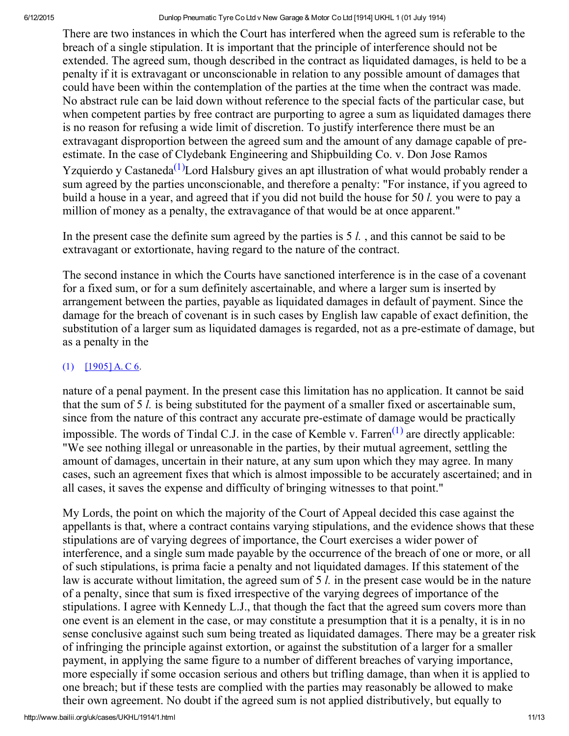There are two instances in which the Court has interfered when the agreed sum is referable to the breach of a single stipulation. It is important that the principle of interference should not be extended. The agreed sum, though described in the contract as liquidated damages, is held to be a penalty if it is extravagant or unconscionable in relation to any possible amount of damages that could have been within the contemplation of the parties at the time when the contract was made. No abstract rule can be laid down without reference to the special facts of the particular case, but when competent parties by free contract are purporting to agree a sum as liquidated damages there is no reason for refusing a wide limit of discretion. To justify interference there must be an extravagant disproportion between the agreed sum and the amount of any damage capable of preestimate. In the case of Clydebank Engineering and Shipbuilding Co. v. Don Jose Ramos Yzquierdo y Castaneda<sup>(1)</sup>Lord Halsbury gives an apt illustration of what would probably render a sum agreed by the parties unconscionable, and therefore a penalty: "For instance, if you agreed to build a house in a year, and agreed that if you did not build the house for 50 l. you were to pay a million of money as a penalty, the extravagance of that would be at once apparent."

In the present case the definite sum agreed by the parties is  $5 l$ , and this cannot be said to be extravagant or extortionate, having regard to the nature of the contract.

The second instance in which the Courts have sanctioned interference is in the case of a covenant for a fixed sum, or for a sum definitely ascertainable, and where a larger sum is inserted by arrangement between the parties, payable as liquidated damages in default of payment. Since the damage for the breach of covenant is in such cases by English law capable of exact definition, the substitution of a larger sum as liquidated damages is regarded, not as a pre-estimate of damage, but as a penalty in the

## $(1)$  [\[1905\]](http://www.bailii.org/uk/cases/UKHL/1904/1904_7_F_HL_77.html) A. C 6.

nature of a penal payment. In the present case this limitation has no application. It cannot be said that the sum of 5 l. is being substituted for the payment of a smaller fixed or ascertainable sum, since from the nature of this contract any accurate pre-estimate of damage would be practically impossible. The words of Tindal C.J. in the case of Kemble v. Farren<sup> $(1)$ </sup> are directly applicable: "We see nothing illegal or unreasonable in the parties, by their mutual agreement, settling the amount of damages, uncertain in their nature, at any sum upon which they may agree. In many cases, such an agreement fixes that which is almost impossible to be accurately ascertained; and in all cases, it saves the expense and difficulty of bringing witnesses to that point."

My Lords, the point on which the majority of the Court of Appeal decided this case against the appellants is that, where a contract contains varying stipulations, and the evidence shows that these stipulations are of varying degrees of importance, the Court exercises a wider power of interference, and a single sum made payable by the occurrence of the breach of one or more, or all of such stipulations, is prima facie a penalty and not liquidated damages. If this statement of the law is accurate without limitation, the agreed sum of 5 l. in the present case would be in the nature of a penalty, since that sum is fixed irrespective of the varying degrees of importance of the stipulations. I agree with Kennedy L.J., that though the fact that the agreed sum covers more than one event is an element in the case, or may constitute a presumption that it is a penalty, it is in no sense conclusive against such sum being treated as liquidated damages. There may be a greater risk of infringing the principle against extortion, or against the substitution of a larger for a smaller payment, in applying the same figure to a number of different breaches of varying importance, more especially if some occasion serious and others but trifling damage, than when it is applied to one breach; but if these tests are complied with the parties may reasonably be allowed to make their own agreement. No doubt if the agreed sum is not applied distributively, but equally to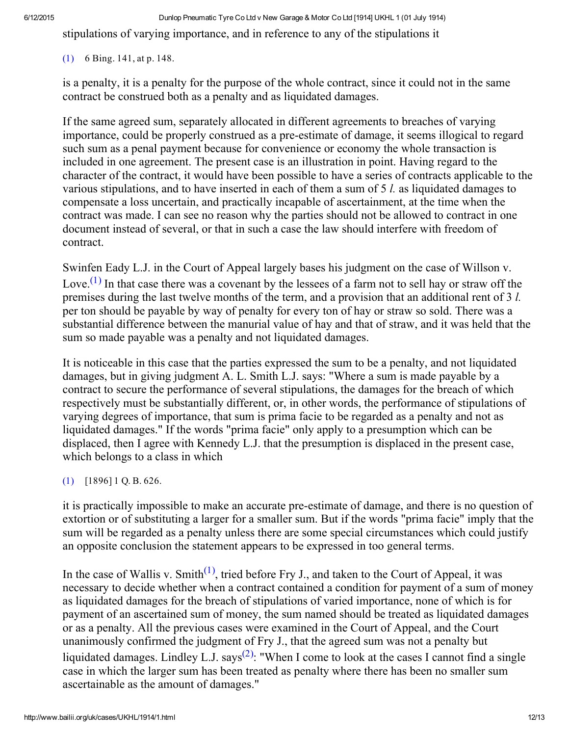stipulations of varying importance, and in reference to any of the stipulations it

(1) 6 Bing. 141, at p. 148.

is a penalty, it is a penalty for the purpose of the whole contract, since it could not in the same contract be construed both as a penalty and as liquidated damages.

If the same agreed sum, separately allocated in different agreements to breaches of varying importance, could be properly construed as a pre-estimate of damage, it seems illogical to regard such sum as a penal payment because for convenience or economy the whole transaction is included in one agreement. The present case is an illustration in point. Having regard to the character of the contract, it would have been possible to have a series of contracts applicable to the various stipulations, and to have inserted in each of them a sum of 5 l. as liquidated damages to compensate a loss uncertain, and practically incapable of ascertainment, at the time when the contract was made. I can see no reason why the parties should not be allowed to contract in one document instead of several, or that in such a case the law should interfere with freedom of contract.

Swinfen Eady L.J. in the Court of Appeal largely bases his judgment on the case of Willson v. Love.<sup>(1)</sup> In that case there was a covenant by the lessees of a farm not to sell hay or straw off the premises during the last twelve months of the term, and a provision that an additional rent of 3 l. per ton should be payable by way of penalty for every ton of hay or straw so sold. There was a substantial difference between the manurial value of hay and that of straw, and it was held that the sum so made payable was a penalty and not liquidated damages.

It is noticeable in this case that the parties expressed the sum to be a penalty, and not liquidated damages, but in giving judgment A. L. Smith L.J. says: "Where a sum is made payable by a contract to secure the performance of several stipulations, the damages for the breach of which respectively must be substantially different, or, in other words, the performance of stipulations of varying degrees of importance, that sum is prima facie to be regarded as a penalty and not as liquidated damages." If the words "prima facie" only apply to a presumption which can be displaced, then I agree with Kennedy L.J. that the presumption is displaced in the present case, which belongs to a class in which

(1) [1896] 1 Q. B. 626.

it is practically impossible to make an accurate pre-estimate of damage, and there is no question of extortion or of substituting a larger for a smaller sum. But if the words "prima facie" imply that the sum will be regarded as a penalty unless there are some special circumstances which could justify an opposite conclusion the statement appears to be expressed in too general terms.

In the case of Wallis v. Smith<sup>(1)</sup>, tried before Fry J., and taken to the Court of Appeal, it was necessary to decide whether when a contract contained a condition for payment of a sum of money as liquidated damages for the breach of stipulations of varied importance, none of which is for payment of an ascertained sum of money, the sum named should be treated as liquidated damages or as a penalty. All the previous cases were examined in the Court of Appeal, and the Court unanimously confirmed the judgment of Fry J., that the agreed sum was not a penalty but liquidated damages. Lindley L.J. says<sup>(2)</sup>: "When I come to look at the cases I cannot find a single case in which the larger sum has been treated as penalty where there has been no smaller sum ascertainable as the amount of damages."